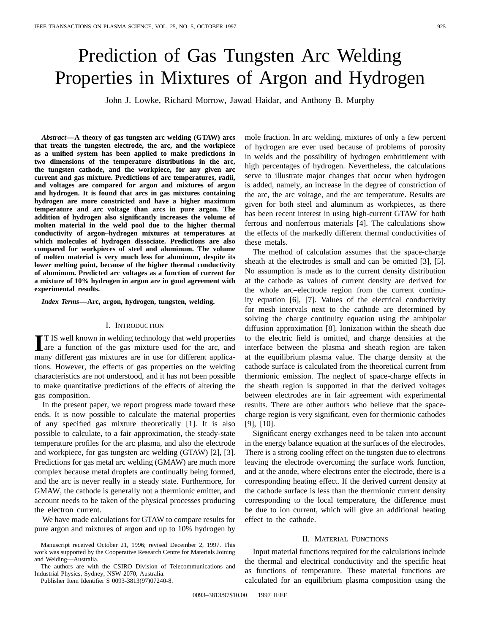# Prediction of Gas Tungsten Arc Welding Properties in Mixtures of Argon and Hydrogen

John J. Lowke, Richard Morrow, Jawad Haidar, and Anthony B. Murphy

*Abstract—***A theory of gas tungsten arc welding (GTAW) arcs that treats the tungsten electrode, the arc, and the workpiece as a unified system has been applied to make predictions in two dimensions of the temperature distributions in the arc, the tungsten cathode, and the workpiece, for any given arc current and gas mixture. Predictions of arc temperatures, radii, and voltages are compared for argon and mixtures of argon and hydrogen. It is found that arcs in gas mixtures containing hydrogen are more constricted and have a higher maximum temperature and arc voltage than arcs in pure argon. The addition of hydrogen also significantly increases the volume of molten material in the weld pool due to the higher thermal conductivity of argon–hydrogen mixtures at temperatures at which molecules of hydrogen dissociate. Predictions are also compared for workpieces of steel and aluminum. The volume of molten material is very much less for aluminum, despite its lower melting point, because of the higher thermal conductivity of aluminum. Predicted arc voltages as a function of current for a mixture of 10% hydrogen in argon are in good agreement with experimental results.**

*Index Terms—***Arc, argon, hydrogen, tungsten, welding.**

#### I. INTRODUCTION

**I**T IS well known in welding technology that weld properties are a function of the gas mixture used for the arc, and T IS well known in welding technology that weld properties many different gas mixtures are in use for different applications. However, the effects of gas properties on the welding characteristics are not understood, and it has not been possible to make quantitative predictions of the effects of altering the gas composition.

In the present paper, we report progress made toward these ends. It is now possible to calculate the material properties of any specified gas mixture theoretically [1]. It is also possible to calculate, to a fair approximation, the steady-state temperature profiles for the arc plasma, and also the electrode and workpiece, for gas tungsten arc welding (GTAW) [2], [3]. Predictions for gas metal arc welding (GMAW) are much more complex because metal droplets are continually being formed, and the arc is never really in a steady state. Furthermore, for GMAW, the cathode is generally not a thermionic emitter, and account needs to be taken of the physical processes producing the electron current.

We have made calculations for GTAW to compare results for pure argon and mixtures of argon and up to 10% hydrogen by

The authors are with the CSIRO Division of Telecommunications and Industrial Physics, Sydney, NSW 2070, Australia.

Publisher Item Identifier S 0093-3813(97)07240-8.

mole fraction. In arc welding, mixtures of only a few percent of hydrogen are ever used because of problems of porosity in welds and the possibility of hydrogen embrittlement with high percentages of hydrogen. Nevertheless, the calculations serve to illustrate major changes that occur when hydrogen is added, namely, an increase in the degree of constriction of the arc, the arc voltage, and the arc temperature. Results are given for both steel and aluminum as workpieces, as there has been recent interest in using high-current GTAW for both ferrous and nonferrous materials [4]. The calculations show the effects of the markedly different thermal conductivities of these metals.

The method of calculation assumes that the space-charge sheath at the electrodes is small and can be omitted [3], [5]. No assumption is made as to the current density distribution at the cathode as values of current density are derived for the whole arc–electrode region from the current continuity equation [6], [7]. Values of the electrical conductivity for mesh intervals next to the cathode are determined by solving the charge continuity equation using the ambipolar diffusion approximation [8]. Ionization within the sheath due to the electric field is omitted, and charge densities at the interface between the plasma and sheath region are taken at the equilibrium plasma value. The charge density at the cathode surface is calculated from the theoretical current from thermionic emission. The neglect of space-charge effects in the sheath region is supported in that the derived voltages between electrodes are in fair agreement with experimental results. There are other authors who believe that the spacecharge region is very significant, even for thermionic cathodes [9], [10].

Significant energy exchanges need to be taken into account in the energy balance equation at the surfaces of the electrodes. There is a strong cooling effect on the tungsten due to electrons leaving the electrode overcoming the surface work function, and at the anode, where electrons enter the electrode, there is a corresponding heating effect. If the derived current density at the cathode surface is less than the thermionic current density corresponding to the local temperature, the difference must be due to ion current, which will give an additional heating effect to the cathode.

### II. MATERIAL FUNCTIONS

Input material functions required for the calculations include the thermal and electrical conductivity and the specific heat as functions of temperature. These material functions are calculated for an equilibrium plasma composition using the

Manuscript received October 21, 1996; revised December 2, 1997. This work was supported by the Cooperative Research Centre for Materials Joining and Welding—Australia.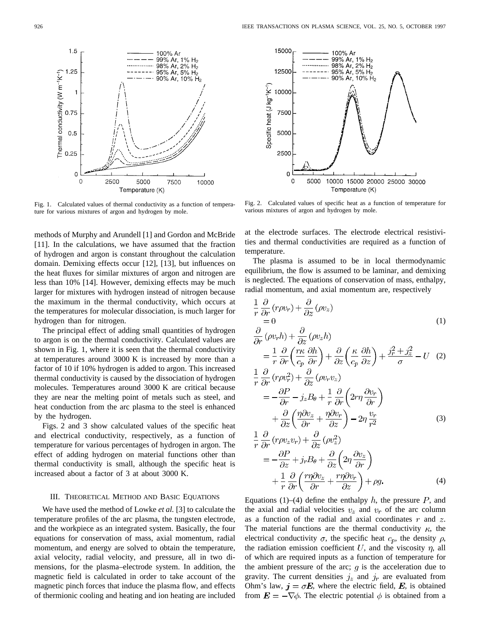Fig. 1. Calculated values of thermal conductivity as a function of temperature for various mixtures of argon and hydrogen by mole.

methods of Murphy and Arundell [1] and Gordon and McBride [11]. In the calculations, we have assumed that the fraction of hydrogen and argon is constant throughout the calculation domain. Demixing effects occur [12], [13], but influences on the heat fluxes for similar mixtures of argon and nitrogen are less than 10% [14]. However, demixing effects may be much larger for mixtures with hydrogen instead of nitrogen because the maximum in the thermal conductivity, which occurs at the temperatures for molecular dissociation, is much larger for hydrogen than for nitrogen.

The principal effect of adding small quantities of hydrogen to argon is on the thermal conductivity. Calculated values are shown in Fig. 1, where it is seen that the thermal conductivity at temperatures around 3000 K is increased by more than a factor of 10 if 10% hydrogen is added to argon. This increased thermal conductivity is caused by the dissociation of hydrogen molecules. Temperatures around 3000 K are critical because they are near the melting point of metals such as steel, and heat conduction from the arc plasma to the steel is enhanced by the hydrogen.

Figs. 2 and 3 show calculated values of the specific heat and electrical conductivity, respectively, as a function of temperature for various percentages of hydrogen in argon. The effect of adding hydrogen on material functions other than thermal conductivity is small, although the specific heat is increased about a factor of 3 at about 3000 K.

# III. THEORETICAL METHOD AND BASIC EQUATIONS

We have used the method of Lowke *et al.* [3] to calculate the temperature profiles of the arc plasma, the tungsten electrode, and the workpiece as an integrated system. Basically, the four equations for conservation of mass, axial momentum, radial momentum, and energy are solved to obtain the temperature, axial velocity, radial velocity, and pressure, all in two dimensions, for the plasma–electrode system. In addition, the magnetic field is calculated in order to take account of the magnetic pinch forces that induce the plasma flow, and effects of thermionic cooling and heating and ion heating are included

Fig. 2. Calculated values of specific heat as a function of temperature for various mixtures of argon and hydrogen by mole.

at the electrode surfaces. The electrode electrical resistivities and thermal conductivities are required as a function of temperature.

The plasma is assumed to be in local thermodynamic equilibrium, the flow is assumed to be laminar, and demixing is neglected. The equations of conservation of mass, enthalpy, radial momentum, and axial momentum are, respectively

$$
\frac{1}{r}\frac{\partial}{\partial r}(r\rho v_r) + \frac{\partial}{\partial z}(\rho v_z)
$$
\n
$$
= 0
$$
\n
$$
\frac{\partial}{\partial r}(\rho v_r h) + \frac{\partial}{\partial z}(\rho v_z h)
$$
\n
$$
= \frac{1}{r}\frac{\partial}{\partial r}\left(\frac{r\kappa}{r}\frac{\partial h}{\partial r}\right) + \frac{\partial}{\partial r}\left(\frac{\kappa}{r}\frac{\partial h}{\partial r}\right) + \frac{j_r^2 + j_z^2}{r^2} - U
$$
\n(2)

$$
r \, \partial r \, \langle c_p \, \partial r \rangle \quad \partial z \, \langle c_p \, \partial z \rangle \quad \sigma
$$
\n
$$
\frac{1}{r} \frac{\partial}{\partial r} (r \rho v_r^2) + \frac{\partial}{\partial z} (\rho v_r v_z)
$$
\n
$$
= -\frac{\partial P}{\partial r} - j_z B_\theta + \frac{1}{r} \frac{\partial}{\partial r} \left( 2r \eta \frac{\partial v_r}{\partial r} \right)
$$
\n
$$
+ \frac{\partial}{\partial z} \left( \frac{\eta \partial v_z}{\partial r} + \frac{\eta \partial v_r}{\partial z} \right) - 2\eta \frac{v_r}{r^2}
$$
\n(3)

$$
\frac{1}{r}\frac{\partial}{\partial r}(r\rho v_z v_r) + \frac{\partial}{\partial z}(\rho v_z^2) \n= -\frac{\partial P}{\partial z} + j_r B_\theta + \frac{\partial}{\partial z} \left(2\eta \frac{\partial v_z}{\partial r}\right) \n+ \frac{1}{r}\frac{\partial}{\partial r}\left(\frac{r\eta \partial v_z}{\partial r} + \frac{r\eta \partial v_r}{\partial z}\right) + \rho g.
$$
\n(4)

Equations (1)–(4) define the enthalpy  $h$ , the pressure  $P$ , and the axial and radial velocities  $v_z$  and  $v_r$  of the arc column as a function of the radial and axial coordinates  $r$  and  $z$ . The material functions are the thermal conductivity  $\kappa$ , the electrical conductivity  $\sigma$ , the specific heat  $c_p$ , the density  $\rho$ , the radiation emission coefficient U, and the viscosity  $\eta$ , all of which are required inputs as a function of temperature for the ambient pressure of the arc;  $q$  is the acceleration due to gravity. The current densities  $j_z$  and  $j_r$  are evaluated from Ohm's law,  $j = \sigma E$ , where the electric field, E, is obtained from  $\mathbf{E} = -\nabla \phi$ . The electric potential  $\phi$  is obtained from a



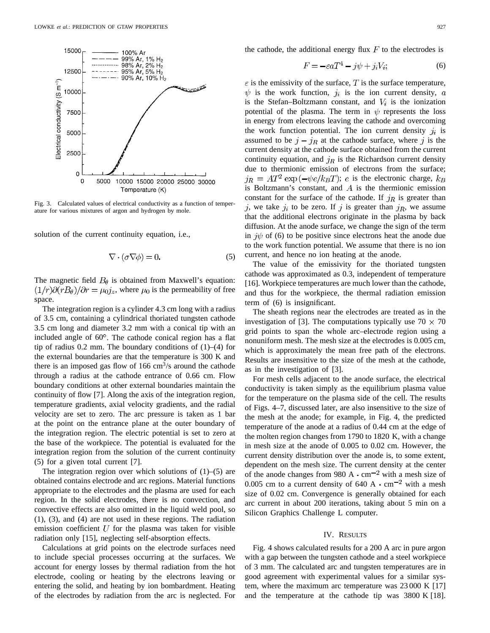

Fig. 3. Calculated values of electrical conductivity as a function of temperature for various mixtures of argon and hydrogen by mole.

solution of the current continuity equation, i.e.,

$$
\nabla \cdot (\sigma \nabla \phi) = 0. \tag{5}
$$

The magnetic field  $B_{\theta}$  is obtained from Maxwell's equation:  $(1/r)\partial(rB_{\theta})/\partial r = \mu_0 j_z$ , where  $\mu_0$  is the permeability of free space.

The integration region is a cylinder 4.3 cm long with a radius of 3.5 cm, containing a cylindrical thoriated tungsten cathode 3.5 cm long and diameter 3.2 mm with a conical tip with an included angle of  $60^\circ$ . The cathode conical region has a flat tip of radius  $0.2$  mm. The boundary conditions of  $(1)$ – $(4)$  for the external boundaries are that the temperature is 300 K and there is an imposed gas flow of 166  $\text{cm}^3\text{/s}$  around the cathode through a radius at the cathode entrance of 0.66 cm. Flow boundary conditions at other external boundaries maintain the continuity of flow [7]. Along the axis of the integration region, temperature gradients, axial velocity gradients, and the radial velocity are set to zero. The arc pressure is taken as 1 bar at the point on the entrance plane at the outer boundary of the integration region. The electric potential is set to zero at the base of the workpiece. The potential is evaluated for the integration region from the solution of the current continuity (5) for a given total current [7].

The integration region over which solutions of  $(1)$ – $(5)$  are obtained contains electrode and arc regions. Material functions appropriate to the electrodes and the plasma are used for each region. In the solid electrodes, there is no convection, and convective effects are also omitted in the liquid weld pool, so (1), (3), and (4) are not used in these regions. The radiation emission coefficient  $U$  for the plasma was taken for visible radiation only [15], neglecting self-absorption effects.

Calculations at grid points on the electrode surfaces need to include special processes occurring at the surfaces. We account for energy losses by thermal radiation from the hot electrode, cooling or heating by the electrons leaving or entering the solid, and heating by ion bombardment. Heating of the electrodes by radiation from the arc is neglected. For the cathode, the additional energy flux  $F$  to the electrodes is

$$
F = -\varepsilon aT^4 - j\psi + j_i V_i; \tag{6}
$$

 $\varepsilon$  is the emissivity of the surface, T is the surface temperature,  $\psi$  is the work function,  $j_i$  is the ion current density, a is the Stefan–Boltzmann constant, and  $V_i$  is the ionization potential of the plasma. The term in  $\psi$  represents the loss in energy from electrons leaving the cathode and overcoming the work function potential. The ion current density  $j_i$  is assumed to be  $j - j_R$  at the cathode surface, where j is the current density at the cathode surface obtained from the current continuity equation, and  $j_R$  is the Richardson current density due to thermionic emission of electrons from the surface;  $j_R = AT^2 \exp(-\psi e/k_B T)$ ; e is the electronic charge,  $k_B$ is Boltzmann's constant, and  $A$  is the thermionic emission constant for the surface of the cathode. If  $j_R$  is greater than j, we take  $j_i$  to be zero. If j is greater than  $j_R$ , we assume that the additional electrons originate in the plasma by back diffusion. At the anode surface, we change the sign of the term in  $j\psi$  of (6) to be positive since electrons heat the anode due to the work function potential. We assume that there is no ion current, and hence no ion heating at the anode.

The value of the emissivity for the thoriated tungsten cathode was approximated as 0.3, independent of temperature [16]. Workpiece temperatures are much lower than the cathode, and thus for the workpiece, the thermal radiation emission term of (6) is insignificant.

The sheath regions near the electrodes are treated as in the investigation of [3]. The computations typically use  $70 \times 70$ grid points to span the whole arc–electrode region using a nonuniform mesh. The mesh size at the electrodes is 0.005 cm, which is approximately the mean free path of the electrons. Results are insensitive to the size of the mesh at the cathode, as in the investigation of [3].

For mesh cells adjacent to the anode surface, the electrical conductivity is taken simply as the equilibrium plasma value for the temperature on the plasma side of the cell. The results of Figs. 4–7, discussed later, are also insensitive to the size of the mesh at the anode; for example, in Fig. 4, the predicted temperature of the anode at a radius of 0.44 cm at the edge of the molten region changes from 1790 to 1820 K, with a change in mesh size at the anode of 0.005 to 0.02 cm. However, the current density distribution over the anode is, to some extent, dependent on the mesh size. The current density at the center of the anode changes from 980 A  $\cdot$  cm<sup>-2</sup> with a mesh size of 0.005 cm to a current density of  $640 \text{ A} \cdot \text{cm}^{-2}$  with a mesh size of 0.02 cm. Convergence is generally obtained for each arc current in about 200 iterations, taking about 5 min on a Silicon Graphics Challenge L computer.

#### IV. RESULTS

Fig. 4 shows calculated results for a 200 A arc in pure argon with a gap between the tungsten cathode and a steel workpiece of 3 mm. The calculated arc and tungsten temperatures are in good agreement with experimental values for a similar system, where the maximum arc temperature was 23 000 K [17] and the temperature at the cathode tip was 3800 K [18].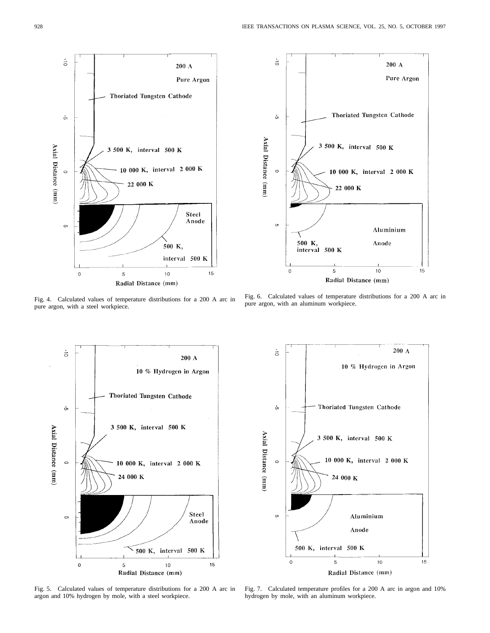

Fig. 4. Calculated values of temperature distributions for a 200 A arc in pure argon, with a steel workpiece.



Fig. 6. Calculated values of temperature distributions for a 200 A arc in pure argon, with an aluminum workpiece.



Fig. 5. Calculated values of temperature distributions for a 200 A arc in argon and 10% hydrogen by mole, with a steel workpiece.



Fig. 7. Calculated temperature profiles for a 200 A arc in argon and 10% hydrogen by mole, with an aluminum workpiece.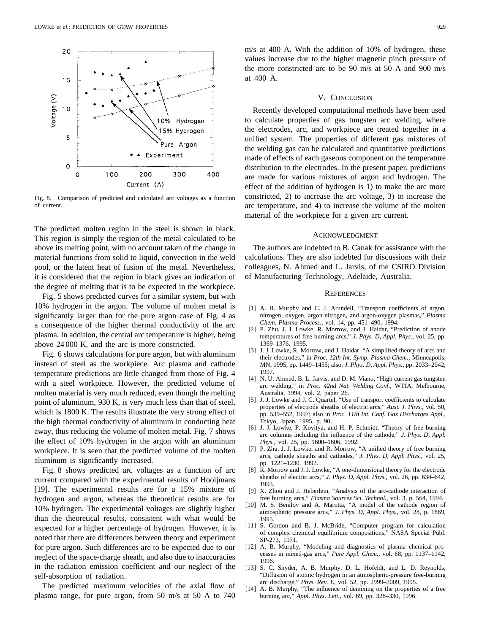

Fig. 8. Comparison of predicted and calculated arc voltages as a function of current.

The predicted molten region in the steel is shown in black. This region is simply the region of the metal calculated to be above its melting point, with no account taken of the change in material functions from solid to liquid, convection in the weld pool, or the latent heat of fusion of the metal. Nevertheless, it is considered that the region in black gives an indication of the degree of melting that is to be expected in the workpiece.

Fig. 5 shows predicted curves for a similar system, but with 10% hydrogen in the argon. The volume of molten metal is significantly larger than for the pure argon case of Fig. 4 as a consequence of the higher thermal conductivity of the arc plasma. In addition, the central arc temperature is higher, being above 24 000 K, and the arc is more constricted.

Fig. 6 shows calculations for pure argon, but with aluminum instead of steel as the workpiece. Arc plasma and cathode temperature predictions are little changed from those of Fig. 4 with a steel workpiece. However, the predicted volume of molten material is very much reduced, even though the melting point of aluminum, 930 K, is very much less than that of steel, which is 1800 K. The results illustrate the very strong effect of the high thermal conductivity of aluminum in conducting heat away, thus reducing the volume of molten metal. Fig. 7 shows the effect of 10% hydrogen in the argon with an aluminum workpiece. It is seen that the predicted volume of the molten aluminum is significantly increased.

Fig. 8 shows predicted arc voltages as a function of arc current compared with the experimental results of Hooijmans [19]. The experimental results are for a 15% mixture of hydrogen and argon, whereas the theoretical results are for 10% hydrogen. The experimental voltages are slightly higher than the theoretical results, consistent with what would be expected for a higher percentage of hydrogen. However, it is noted that there are differences between theory and experiment for pure argon. Such differences are to be expected due to our neglect of the space-charge sheath, and also due to inaccuracies in the radiation emission coefficient and our neglect of the self-absorption of radiation.

The predicted maximum velocities of the axial flow of plasma range, for pure argon, from 50 m/s at 50 A to 740

m/s at 400 A. With the addition of 10% of hydrogen, these values increase due to the higher magnetic pinch pressure of the more constricted arc to be 90 m/s at 50 A and 900 m/s at 400 A.

#### V. CONCLUSION

Recently developed computational methods have been used to calculate properties of gas tungsten arc welding, where the electrodes, arc, and workpiece are treated together in a unified system. The properties of different gas mixtures of the welding gas can be calculated and quantitative predictions made of effects of each gaseous component on the temperature distribution in the electrodes. In the present paper, predictions are made for various mixtures of argon and hydrogen. The effect of the addition of hydrogen is 1) to make the arc more constricted, 2) to increase the arc voltage, 3) to increase the arc temperature, and 4) to increase the volume of the molten material of the workpiece for a given arc current.

#### ACKNOWLEDGMENT

The authors are indebted to B. Canak for assistance with the calculations. They are also indebted for discussions with their colleagues, N. Ahmed and L. Jarvis, of the CSIRO Division of Manufacturing Technology, Adelaide, Australia.

## **REFERENCES**

- [1] A. B. Murphy and C. J. Arundell, "Transport coefficients of argon, nitrogen, oxygen, argon-nitrogen, and argon-oxygen plasmas," *Plasma Chem. Plasma Process.,* vol. 14, pp. 451–490, 1994.
- [2] P. Zhu, J. J. Lowke, R. Morrow, and J. Haidar, "Prediction of anode temperatures of free burning arcs," *J. Phys. D, Appl. Phys.,* vol. 25, pp. 1369–1376, 1995.
- [3] J. J. Lowke, R. Morrow, and J. Haidar, "A simplified theory of arcs and their electrodes," in *Proc. 12th Int. Symp. Plasma Chem.,* Minneapolis, MN, 1995, pp. 1449–1455; also, *J. Phys. D, Appl. Phys.*, pp. 2033–2042, 1997.
- [4] N. U. Ahmed, B. L. Jarvis, and D. M. Viano, "High current gas tungsten arc welding," in *Proc. 42nd Nat. Welding Conf.,* WTIA, Melbourne, Australia, 1994, vol. 2, paper 26.
- [5] J. J. Lowke and J. C. Quartel, "Use of transport coefficients to calculate properties of electrode sheaths of electric arcs," *Aust. J. Phys.,* vol. 50, pp. 539–552, 1997; also in *Proc. 11th Int. Conf. Gas Discharges Appl.,* Tokyo, Japan, 1995, p. 90.
- [6] J. J. Lowke, P. Kovitya, and H. P. Schmidt, "Theory of free burning arc columns including the influence of the cathode," *J. Phys. D, Appl. Phys.,* vol. 25, pp. 1600–1606, 1992.
- [7] P. Zhu, J. J. Lowke, and R. Morrow, "A unified theory of free burning arcs, cathode sheaths and cathodes," *J. Phys. D, Appl. Phys.,* vol. 25, pp. 1221–1230, 1992.
- [8] R. Morrow and J. J. Lowke, "A one-dimensional theory for the electrode sheaths of electric arcs," *J. Phys. D, Appl. Phys.,* vol. 26, pp. 634–642, 1993.
- [9] X. Zhou and J. Heberlein, "Analysis of the arc-cathode interaction of free burning arcs," *Plasma Sources Sci. Technol.,* vol. 3, p. 564, 1994.
- [10] M. S. Benilov and A. Marotta, "A model of the cathode region of atmospheric pressure arcs," *J. Phys. D, Appl. Phys.,* vol. 28, p. 1869, 1995.
- [11] S. Gordon and B. J. McBride, "Computer program for calculation of complex chemical equilibrium compositions," NASA Special Publ. SP-273, 1971.
- [12] A. B. Murphy, "Modeling and diagnostics of plasma chemical processes in mixed-gas arcs," *Pure Appl. Chem.,* vol. 68, pp. 1137–1142, 1996.
- [13] S. C. Snyder, A. B. Murphy, D. L. Hofeldt, and L. D. Reynolds, "Diffusion of atomic hydrogen in an atmospheric-pressure free-burning arc discharge," *Phys. Rev. E,* vol. 52, pp. 2999–3009, 1995.
- [14] A. B. Murphy, "The influence of demixing on the properties of a free burning arc," *Appl. Phys. Lett.,* vol. 69, pp. 328–330, 1996.